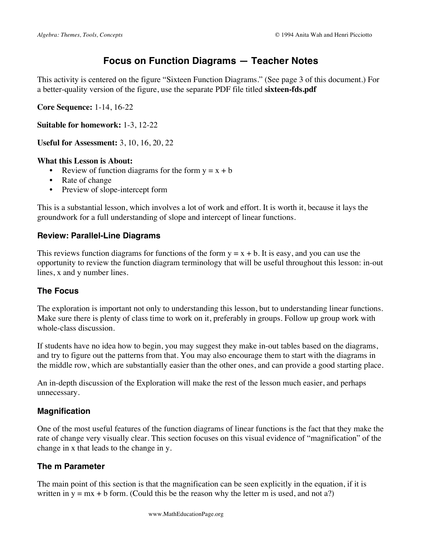# **Focus on Function Diagrams — Teacher Notes**

This activity is centered on the figure "Sixteen Function Diagrams." (See page 3 of this document.) For a better-quality version of the figure, use the separate PDF file titled **sixteen-fds.pdf**

**Core Sequence:** 1-14, 16-22

**Suitable for homework:** 1-3, 12-22

**Useful for Assessment:** 3, 10, 16, 20, 22

### **What this Lesson is About:**

- Review of function diagrams for the form  $y = x + b$
- Rate of change
- Preview of slope-intercept form

This is a substantial lesson, which involves a lot of work and effort. It is worth it, because it lays the groundwork for a full understanding of slope and intercept of linear functions.

## **Review: Parallel-Line Diagrams**

This reviews function diagrams for functions of the form  $y = x + b$ . It is easy, and you can use the opportunity to review the function diagram terminology that will be useful throughout this lesson: in-out lines, x and y number lines.

## **The Focus**

The exploration is important not only to understanding this lesson, but to understanding linear functions. Make sure there is plenty of class time to work on it, preferably in groups. Follow up group work with whole-class discussion.

If students have no idea how to begin, you may suggest they make in-out tables based on the diagrams, and try to figure out the patterns from that. You may also encourage them to start with the diagrams in the middle row, which are substantially easier than the other ones, and can provide a good starting place.

An in-depth discussion of the Exploration will make the rest of the lesson much easier, and perhaps unnecessary.

## **Magnification**

One of the most useful features of the function diagrams of linear functions is the fact that they make the rate of change very visually clear. This section focuses on this visual evidence of "magnification" of the change in x that leads to the change in y.

## **The m Parameter**

The main point of this section is that the magnification can be seen explicitly in the equation, if it is written in  $y = mx + b$  form. (Could this be the reason why the letter m is used, and not a?)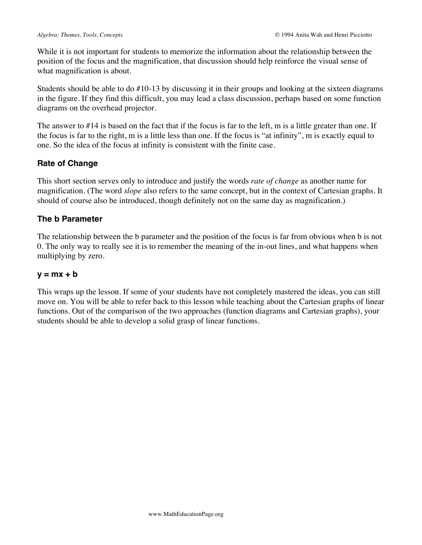While it is not important for students to memorize the information about the relationship between the position of the focus and the magnification, that discussion should help reinforce the visual sense of what magnification is about.

Students should be able to do #10-13 by discussing it in their groups and looking at the sixteen diagrams in the figure. If they find this difficult, you may lead a class discussion, perhaps based on some function diagrams on the overhead projector.

The answer to #14 is based on the fact that if the focus is far to the left, m is a little greater than one. If the focus is far to the right, m is a little less than one. If the focus is "at infinity", m is exactly equal to one. So the idea of the focus at infinity is consistent with the finite case.

### **Rate of Change**

This short section serves only to introduce and justify the words *rate of change* as another name for magnification. (The word *slope* also refers to the same concept, but in the context of Cartesian graphs. It should of course also be introduced, though definitely not on the same day as magnification.)

### **The b Parameter**

The relationship between the b parameter and the position of the focus is far from obvious when b is not 0. The only way to really see it is to remember the meaning of the in-out lines, and what happens when multiplying by zero.

### **y = mx + b**

This wraps up the lesson. If some of your students have not completely mastered the ideas, you can still move on. You will be able to refer back to this lesson while teaching about the Cartesian graphs of linear functions. Out of the comparison of the two approaches (function diagrams and Cartesian graphs), your students should be able to develop a solid grasp of linear functions.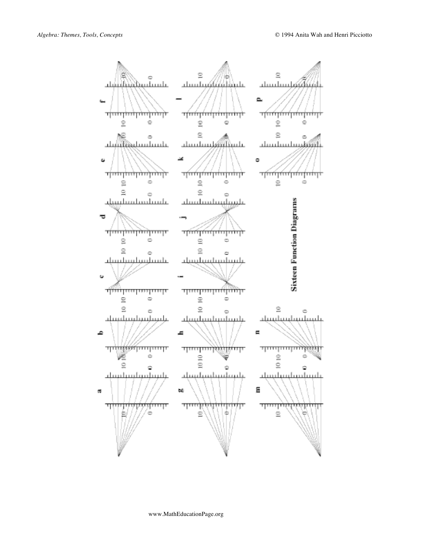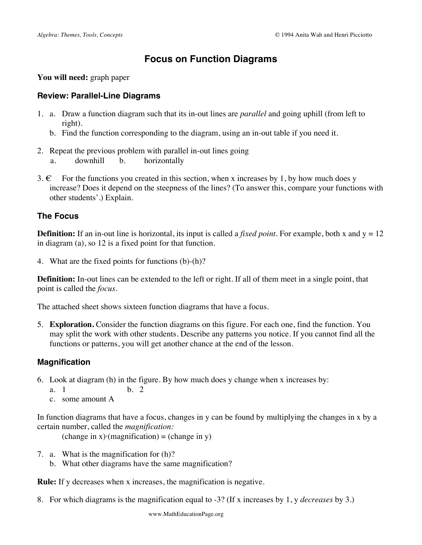# **Focus on Function Diagrams**

#### **You will need:** graph paper

### **Review: Parallel-Line Diagrams**

- 1. a. Draw a function diagram such that its in-out lines are *parallel* and going uphill (from left to right).
	- b. Find the function corresponding to the diagram, using an in-out table if you need it.
- 2. Repeat the previous problem with parallel in-out lines going
	- a. downhill b. horizontally
- 3.  $\epsilon$  For the functions you created in this section, when x increases by 1, by how much does y increase? Does it depend on the steepness of the lines? (To answer this, compare your functions with other students'.) Explain.

## **The Focus**

**Definition:** If an in-out line is horizontal, its input is called a *fixed point*. For example, both x and  $y = 12$ in diagram (a), so 12 is a fixed point for that function.

4. What are the fixed points for functions (b)-(h)?

**Definition:** In-out lines can be extended to the left or right. If all of them meet in a single point, that point is called the *focus*.

The attached sheet shows sixteen function diagrams that have a focus.

5. **Exploration.** Consider the function diagrams on this figure. For each one, find the function. You may split the work with other students. Describe any patterns you notice. If you cannot find all the functions or patterns, you will get another chance at the end of the lesson.

## **Magnification**

- 6. Look at diagram (h) in the figure. By how much does y change when x increases by:
	- a. 1 b. 2
	- c. some amount A

In function diagrams that have a focus, changes in y can be found by multiplying the changes in x by a certain number, called the *magnification:*

(change in x) $\cdot$ (magnification) = (change in y)

- 7. a. What is the magnification for (h)?
	- b. What other diagrams have the same magnification?

**Rule:** If y decreases when x increases, the magnification is negative.

8. For which diagrams is the magnification equal to -3? (If x increases by 1, y *decreases* by 3.)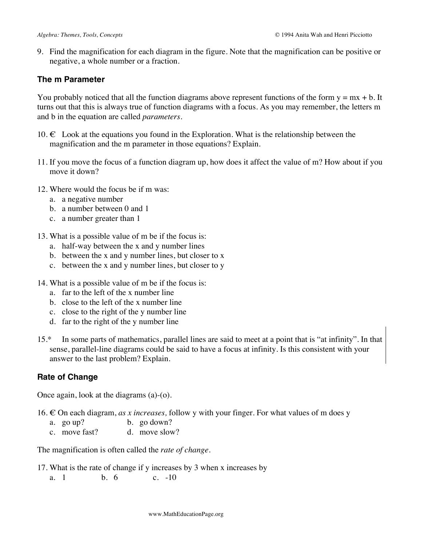9. Find the magnification for each diagram in the figure. Note that the magnification can be positive or negative, a whole number or a fraction.

### **The m Parameter**

You probably noticed that all the function diagrams above represent functions of the form  $y = mx + b$ . It turns out that this is always true of function diagrams with a focus. As you may remember, the letters m and b in the equation are called *parameters*.

- 10.  $∈$  Look at the equations you found in the Exploration. What is the relationship between the magnification and the m parameter in those equations? Explain.
- 11. If you move the focus of a function diagram up, how does it affect the value of m? How about if you move it down?
- 12. Where would the focus be if m was:
	- a. a negative number
	- b. a number between 0 and 1
	- c. a number greater than 1
- 13. What is a possible value of m be if the focus is:
	- a. half-way between the x and y number lines
	- b. between the x and y number lines, but closer to x
	- c. between the x and y number lines, but closer to y
- 14. What is a possible value of m be if the focus is:
	- a. far to the left of the x number line
	- b. close to the left of the x number line
	- c. close to the right of the y number line
	- d. far to the right of the y number line
- 15.\* In some parts of mathematics, parallel lines are said to meet at a point that is "at infinity". In that sense, parallel-line diagrams could be said to have a focus at infinity. Is this consistent with your answer to the last problem? Explain.

### **Rate of Change**

Once again, look at the diagrams (a)-(o).

16. € On each diagram, *as x increases,* follow y with your finger. For what values of m does y

- a. go up? b. go down?
- c. move fast? d. move slow?

The magnification is often called the *rate of change.*

17. What is the rate of change if y increases by 3 when x increases by a. 1 b. 6 c. -10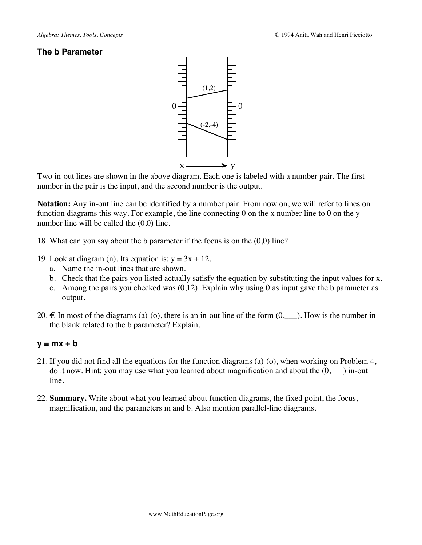### **The b Parameter**



Two in-out lines are shown in the above diagram. Each one is labeled with a number pair. The first number in the pair is the input, and the second number is the output.

**Notation:** Any in-out line can be identified by a number pair. From now on, we will refer to lines on function diagrams this way. For example, the line connecting 0 on the x number line to 0 on the y number line will be called the (0,0) line.

18. What can you say about the b parameter if the focus is on the (0,0) line?

- 19. Look at diagram (n). Its equation is:  $y = 3x + 12$ .
	- a. Name the in-out lines that are shown.
	- b. Check that the pairs you listed actually satisfy the equation by substituting the input values for x.
	- c. Among the pairs you checked was  $(0,12)$ . Explain why using 0 as input gave the b parameter as output.
- 20.  $\in$  In most of the diagrams (a)-(o), there is an in-out line of the form  $(0, \ldots)$ . How is the number in the blank related to the b parameter? Explain.

#### **y = mx + b**

- 21. If you did not find all the equations for the function diagrams (a)-(o), when working on Problem 4, do it now. Hint: you may use what you learned about magnification and about the  $(0, \underline{\hspace{2cm}})$  in-out line.
- 22. **Summary.** Write about what you learned about function diagrams, the fixed point, the focus, magnification, and the parameters m and b. Also mention parallel-line diagrams.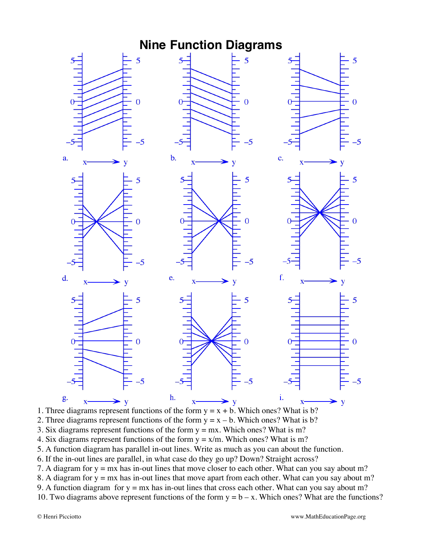

1. Three diagrams represent functions of the form  $y = x + b$ . Which ones? What is b?

- 2. Three diagrams represent functions of the form  $y = x b$ . Which ones? What is b?
- 3. Six diagrams represent functions of the form  $y = mx$ . Which ones? What is m?
- 4. Six diagrams represent functions of the form  $y = x/m$ . Which ones? What is m?
- 5. A function diagram has parallel in-out lines. Write as much as you can about the function.
- 6. If the in-out lines are parallel, in what case do they go up? Down? Straight across?
- 7. A diagram for  $y = mx$  has in-out lines that move closer to each other. What can you say about m?
- 8. A diagram for  $y = mx$  has in-out lines that move apart from each other. What can you say about m?
- 9. A function diagram for  $y = mx$  has in-out lines that cross each other. What can you say about m?
- 10. Two diagrams above represent functions of the form  $y = b x$ . Which ones? What are the functions?